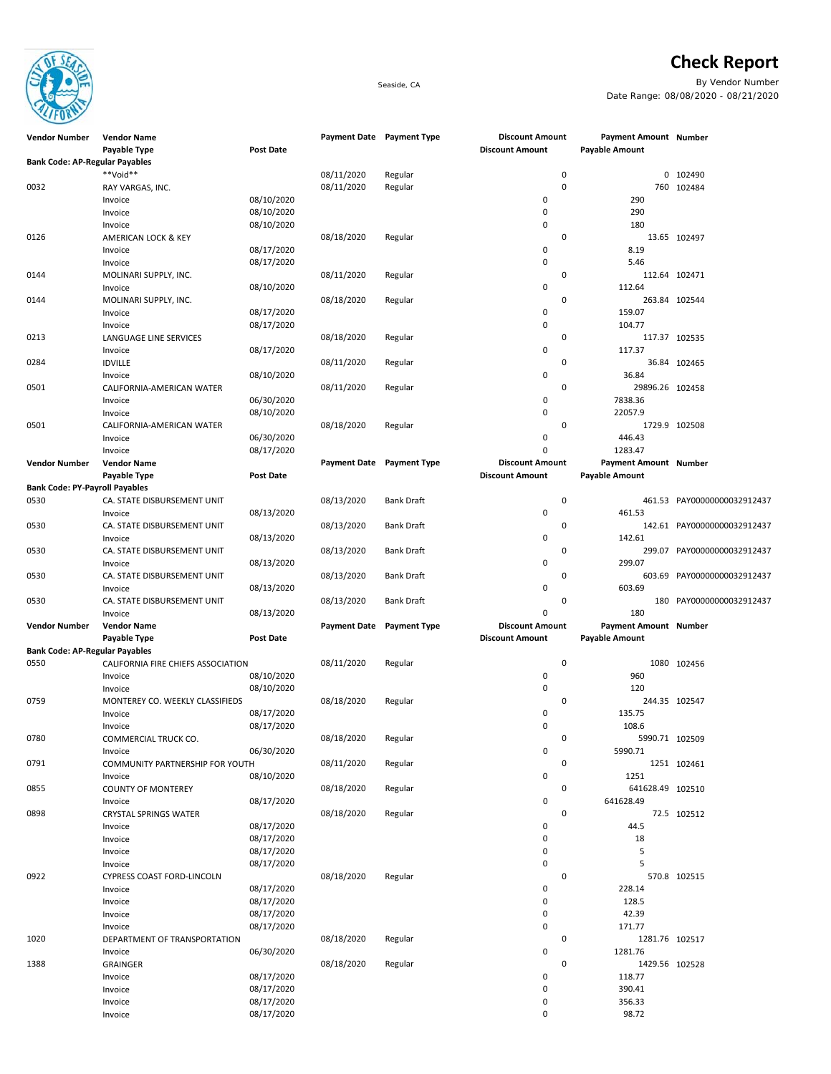

## **Check Report**

Seaside, CA By Vendor Number Date Range: 08/08/2020 - 08/21/2020

| <b>Vendor Number</b>                  | <b>Vendor Name</b>                 |                  | Payment Date Payment Type |                           | <b>Discount Amount</b> | Payment Amount Number |                             |
|---------------------------------------|------------------------------------|------------------|---------------------------|---------------------------|------------------------|-----------------------|-----------------------------|
|                                       | Payable Type                       | <b>Post Date</b> |                           |                           | <b>Discount Amount</b> | <b>Payable Amount</b> |                             |
| <b>Bank Code: AP-Regular Payables</b> |                                    |                  |                           |                           |                        |                       |                             |
|                                       | **Void**                           |                  | 08/11/2020                | Regular                   | 0                      |                       | 0 102490                    |
| 0032                                  | RAY VARGAS, INC.                   |                  | 08/11/2020                | Regular                   | 0                      |                       | 760 102484                  |
|                                       | Invoice                            | 08/10/2020       |                           |                           | 0                      | 290                   |                             |
|                                       | Invoice                            | 08/10/2020       |                           |                           | 0                      | 290                   |                             |
|                                       |                                    |                  |                           |                           | $\pmb{0}$              | 180                   |                             |
|                                       | Invoice                            | 08/10/2020       |                           |                           |                        |                       |                             |
| 0126                                  | AMERICAN LOCK & KEY                |                  | 08/18/2020                | Regular                   | 0                      |                       | 13.65 102497                |
|                                       | Invoice                            | 08/17/2020       |                           |                           | 0                      | 8.19                  |                             |
|                                       | Invoice                            | 08/17/2020       |                           |                           | 0                      | 5.46                  |                             |
| 0144                                  | MOLINARI SUPPLY, INC.              |                  | 08/11/2020                | Regular                   | 0                      |                       | 112.64 102471               |
|                                       | Invoice                            | 08/10/2020       |                           |                           | 0                      | 112.64                |                             |
| 0144                                  | MOLINARI SUPPLY, INC.              |                  | 08/18/2020                | Regular                   | 0                      |                       | 263.84 102544               |
|                                       | Invoice                            | 08/17/2020       |                           |                           | 0                      | 159.07                |                             |
|                                       | Invoice                            | 08/17/2020       |                           |                           | 0                      | 104.77                |                             |
| 0213                                  | LANGUAGE LINE SERVICES             |                  | 08/18/2020                | Regular                   | 0                      |                       | 117.37 102535               |
|                                       | Invoice                            | 08/17/2020       |                           |                           | 0                      | 117.37                |                             |
| 0284                                  | <b>IDVILLE</b>                     |                  | 08/11/2020                | Regular                   | 0                      |                       | 36.84 102465                |
|                                       |                                    |                  |                           |                           |                        |                       |                             |
|                                       | Invoice                            | 08/10/2020       |                           |                           | 0                      | 36.84                 |                             |
| 0501                                  | CALIFORNIA-AMERICAN WATER          |                  | 08/11/2020                | Regular                   | 0                      | 29896.26 102458       |                             |
|                                       | Invoice                            | 06/30/2020       |                           |                           | 0                      | 7838.36               |                             |
|                                       | Invoice                            | 08/10/2020       |                           |                           | $\pmb{0}$              | 22057.9               |                             |
| 0501                                  | CALIFORNIA-AMERICAN WATER          |                  | 08/18/2020                | Regular                   | 0                      |                       | 1729.9 102508               |
|                                       | Invoice                            | 06/30/2020       |                           |                           | 0                      | 446.43                |                             |
|                                       | Invoice                            | 08/17/2020       |                           |                           | $\pmb{0}$              | 1283.47               |                             |
| <b>Vendor Number</b>                  | <b>Vendor Name</b>                 |                  |                           | Payment Date Payment Type | <b>Discount Amount</b> | Payment Amount Number |                             |
|                                       | Payable Type                       | <b>Post Date</b> |                           |                           | <b>Discount Amount</b> | <b>Payable Amount</b> |                             |
| <b>Bank Code: PY-Payroll Payables</b> |                                    |                  |                           |                           |                        |                       |                             |
| 0530                                  | CA. STATE DISBURSEMENT UNIT        |                  | 08/13/2020                | <b>Bank Draft</b>         | 0                      |                       | 461.53 PAY00000000032912437 |
|                                       |                                    |                  |                           |                           | $\pmb{0}$              | 461.53                |                             |
|                                       | Invoice                            | 08/13/2020       |                           |                           |                        |                       |                             |
| 0530                                  | CA. STATE DISBURSEMENT UNIT        |                  | 08/13/2020                | <b>Bank Draft</b>         | 0                      |                       | 142.61 PAY00000000032912437 |
|                                       | Invoice                            | 08/13/2020       |                           |                           | 0                      | 142.61                |                             |
| 0530                                  | CA. STATE DISBURSEMENT UNIT        |                  | 08/13/2020                | <b>Bank Draft</b>         | 0                      |                       | 299.07 PAY00000000032912437 |
|                                       | Invoice                            | 08/13/2020       |                           |                           | 0                      | 299.07                |                             |
| 0530                                  | CA. STATE DISBURSEMENT UNIT        |                  | 08/13/2020                | <b>Bank Draft</b>         | 0                      |                       | 603.69 PAY00000000032912437 |
|                                       | Invoice                            | 08/13/2020       |                           |                           | $\pmb{0}$              | 603.69                |                             |
| 0530                                  | CA. STATE DISBURSEMENT UNIT        |                  | 08/13/2020                | <b>Bank Draft</b>         | 0                      | 180                   | PAY00000000032912437        |
|                                       | Invoice                            | 08/13/2020       |                           |                           | 0                      | 180                   |                             |
| <b>Vendor Number</b>                  | <b>Vendor Name</b>                 |                  | <b>Payment Date</b>       | <b>Payment Type</b>       | <b>Discount Amount</b> | Payment Amount Number |                             |
|                                       | Payable Type                       | <b>Post Date</b> |                           |                           | <b>Discount Amount</b> | <b>Payable Amount</b> |                             |
|                                       |                                    |                  |                           |                           |                        |                       |                             |
| <b>Bank Code: AP-Regular Payables</b> |                                    |                  |                           |                           |                        |                       |                             |
| 0550                                  | CALIFORNIA FIRE CHIEFS ASSOCIATION |                  | 08/11/2020                | Regular                   | 0                      |                       | 1080 102456                 |
|                                       | Invoice                            | 08/10/2020       |                           |                           | $\pmb{0}$              | 960                   |                             |
|                                       | Invoice                            | 08/10/2020       |                           |                           | 0                      | 120                   |                             |
| 0759                                  | MONTEREY CO. WEEKLY CLASSIFIEDS    |                  | 08/18/2020                | Regular                   | 0                      |                       | 244.35 102547               |
|                                       | Invoice                            | 08/17/2020       |                           |                           | 0                      | 135.75                |                             |
|                                       | Invoice                            | 08/17/2020       |                           |                           | $\mathbf 0$            | 108.6                 |                             |
| 0780                                  | COMMERCIAL TRUCK CO.               |                  | 08/18/2020                | Regular                   | 0                      | 5990.71 102509        |                             |
|                                       | Invoice                            | 06/30/2020       |                           |                           | 0                      | 5990.71               |                             |
| 0791                                  | COMMUNITY PARTNERSHIP FOR YOUTH    |                  | 08/11/2020                | Regular                   | 0                      |                       | 1251 102461                 |
|                                       | Invoice                            | 08/10/2020       |                           |                           | $\pmb{0}$              | 1251                  |                             |
| 0855                                  | <b>COUNTY OF MONTEREY</b>          |                  | 08/18/2020                | Regular                   | 0                      | 641628.49 102510      |                             |
|                                       |                                    | 08/17/2020       |                           |                           | $\mathsf{O}\xspace$    | 641628.49             |                             |
|                                       | Invoice                            |                  |                           |                           |                        |                       |                             |
| 0898                                  | <b>CRYSTAL SPRINGS WATER</b>       |                  | 08/18/2020                | Regular                   | 0                      |                       | 72.5 102512                 |
|                                       | Invoice                            | 08/17/2020       |                           |                           | 0                      | 44.5                  |                             |
|                                       | Invoice                            | 08/17/2020       |                           |                           | $\mathsf{O}\xspace$    | 18                    |                             |
|                                       | Invoice                            | 08/17/2020       |                           |                           | $\pmb{0}$              | 5                     |                             |
|                                       | Invoice                            | 08/17/2020       |                           |                           | 0                      | 5                     |                             |
| 0922                                  | CYPRESS COAST FORD-LINCOLN         |                  | 08/18/2020                | Regular                   | 0                      |                       | 570.8 102515                |
|                                       | Invoice                            | 08/17/2020       |                           |                           | 0                      | 228.14                |                             |
|                                       | Invoice                            | 08/17/2020       |                           |                           | 0                      | 128.5                 |                             |
|                                       | Invoice                            | 08/17/2020       |                           |                           | 0                      | 42.39                 |                             |
|                                       | Invoice                            | 08/17/2020       |                           |                           | 0                      | 171.77                |                             |
| 1020                                  | DEPARTMENT OF TRANSPORTATION       |                  | 08/18/2020                | Regular                   | 0                      | 1281.76 102517        |                             |
|                                       |                                    | 06/30/2020       |                           |                           | 0                      | 1281.76               |                             |
|                                       | Invoice                            |                  |                           |                           |                        |                       |                             |
| 1388                                  | GRAINGER                           |                  | 08/18/2020                | Regular                   | 0                      | 1429.56 102528        |                             |
|                                       | Invoice                            | 08/17/2020       |                           |                           | 0                      | 118.77                |                             |
|                                       | Invoice                            | 08/17/2020       |                           |                           | 0                      | 390.41                |                             |
|                                       | Invoice                            | 08/17/2020       |                           |                           | 0                      | 356.33                |                             |
|                                       | Invoice                            | 08/17/2020       |                           |                           | 0                      | 98.72                 |                             |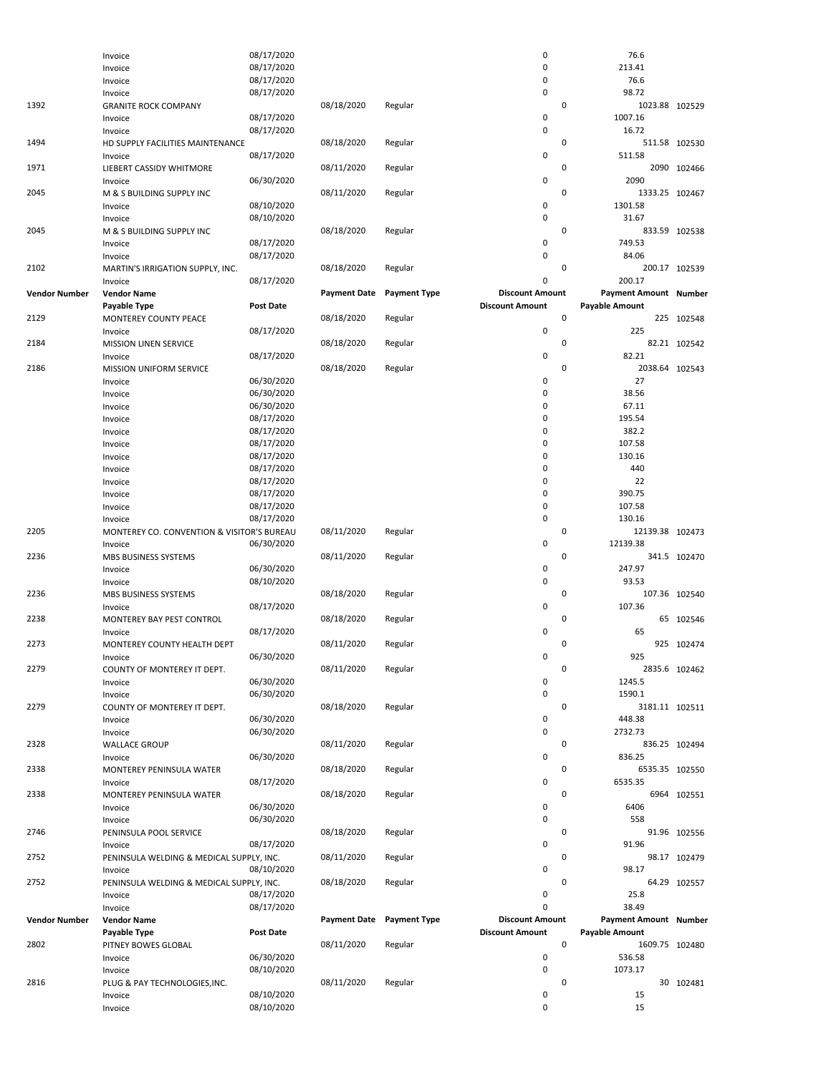|                      | Invoice                                    | 08/17/2020       |                     |                     | 0                      | 76.6                  |               |
|----------------------|--------------------------------------------|------------------|---------------------|---------------------|------------------------|-----------------------|---------------|
|                      | Invoice                                    | 08/17/2020       |                     |                     | 0                      | 213.41                |               |
|                      | Invoice                                    | 08/17/2020       |                     |                     | 0                      | 76.6                  |               |
|                      | Invoice                                    | 08/17/2020       |                     |                     | 0                      | 98.72                 |               |
| 1392                 | <b>GRANITE ROCK COMPANY</b>                |                  | 08/18/2020          | Regular             | 0                      | 1023.88 102529        |               |
|                      | Invoice                                    | 08/17/2020       |                     |                     | 0                      | 1007.16               |               |
|                      | Invoice                                    | 08/17/2020       |                     |                     | 0                      | 16.72                 |               |
| 1494                 | HD SUPPLY FACILITIES MAINTENANCE           |                  | 08/18/2020          | Regular             | 0                      |                       | 511.58 102530 |
|                      | Invoice                                    | 08/17/2020       |                     |                     | 0                      | 511.58                |               |
| 1971                 | LIEBERT CASSIDY WHITMORE                   |                  | 08/11/2020          | Regular             | 0                      |                       | 2090 102466   |
|                      | Invoice                                    | 06/30/2020       |                     |                     | 0                      | 2090                  |               |
| 2045                 | M & S BUILDING SUPPLY INC                  |                  | 08/11/2020          | Regular             | 0                      | 1333.25 102467        |               |
|                      | Invoice                                    | 08/10/2020       |                     |                     | 0                      | 1301.58               |               |
|                      | Invoice                                    | 08/10/2020       |                     |                     | 0                      | 31.67                 |               |
| 2045                 | M & S BUILDING SUPPLY INC                  |                  | 08/18/2020          | Regular             | 0                      |                       | 833.59 102538 |
|                      | Invoice                                    | 08/17/2020       |                     |                     | 0                      | 749.53                |               |
|                      | Invoice                                    | 08/17/2020       |                     |                     | 0                      | 84.06                 |               |
| 2102                 | MARTIN'S IRRIGATION SUPPLY, INC.           |                  | 08/18/2020          | Regular             | 0                      |                       | 200.17 102539 |
|                      | Invoice                                    | 08/17/2020       |                     |                     | 0                      | 200.17                |               |
| <b>Vendor Number</b> | <b>Vendor Name</b>                         |                  | <b>Payment Date</b> | <b>Payment Type</b> | <b>Discount Amount</b> | Payment Amount Number |               |
|                      | Payable Type                               | <b>Post Date</b> |                     |                     | <b>Discount Amount</b> | <b>Payable Amount</b> |               |
| 2129                 | MONTEREY COUNTY PEACE                      |                  | 08/18/2020          | Regular             | 0                      |                       | 225 102548    |
|                      | Invoice                                    | 08/17/2020       |                     |                     | 0                      | 225                   |               |
| 2184                 | <b>MISSION LINEN SERVICE</b>               |                  | 08/18/2020          | Regular             | 0                      |                       | 82.21 102542  |
|                      | Invoice                                    | 08/17/2020       |                     |                     | 0                      | 82.21                 |               |
| 2186                 | MISSION UNIFORM SERVICE                    |                  | 08/18/2020          | Regular             | 0                      | 2038.64 102543        |               |
|                      | Invoice                                    | 06/30/2020       |                     |                     | 0                      | 27                    |               |
|                      | Invoice                                    | 06/30/2020       |                     |                     | 0                      | 38.56                 |               |
|                      | Invoice                                    | 06/30/2020       |                     |                     | 0                      | 67.11                 |               |
|                      | Invoice                                    | 08/17/2020       |                     |                     | 0                      | 195.54                |               |
|                      | Invoice                                    | 08/17/2020       |                     |                     | 0                      | 382.2                 |               |
|                      | Invoice                                    | 08/17/2020       |                     |                     | 0                      | 107.58                |               |
|                      | Invoice                                    | 08/17/2020       |                     |                     | 0                      | 130.16                |               |
|                      | Invoice                                    | 08/17/2020       |                     |                     | 0                      | 440                   |               |
|                      | Invoice                                    | 08/17/2020       |                     |                     | 0                      | 22                    |               |
|                      | Invoice                                    | 08/17/2020       |                     |                     | 0                      | 390.75                |               |
|                      | Invoice                                    | 08/17/2020       |                     |                     | 0                      | 107.58                |               |
|                      | Invoice                                    | 08/17/2020       |                     |                     | 0                      | 130.16                |               |
| 2205                 | MONTEREY CO. CONVENTION & VISITOR'S BUREAU |                  | 08/11/2020          | Regular             | 0                      | 12139.38 102473       |               |
|                      | Invoice                                    | 06/30/2020       |                     |                     | 0                      | 12139.38              |               |
| 2236                 | MBS BUSINESS SYSTEMS                       |                  | 08/11/2020          | Regular             | 0                      |                       | 341.5 102470  |
|                      | Invoice                                    | 06/30/2020       |                     |                     | 0                      | 247.97                |               |
|                      | Invoice                                    | 08/10/2020       |                     |                     | 0                      | 93.53                 |               |
| 2236                 | MBS BUSINESS SYSTEMS                       |                  | 08/18/2020          | Regular             | 0                      |                       | 107.36 102540 |
|                      | Invoice                                    | 08/17/2020       |                     |                     | 0                      | 107.36                |               |
| 2238                 | MONTEREY BAY PEST CONTROL                  |                  | 08/18/2020          | Regular             | 0                      | 65                    | 102546        |
|                      | Invoice                                    | 08/17/2020       |                     |                     | 0                      | 65                    |               |
| 2273                 | MONTEREY COUNTY HEALTH DEPT                |                  | 08/11/2020          | Regular             | 0                      |                       | 925 102474    |
|                      | Invoice                                    | 06/30/2020       |                     |                     | 0                      | 925                   |               |
| 2279                 | COUNTY OF MONTEREY IT DEPT.                |                  | 08/11/2020          | Regular             | 0                      |                       | 2835.6 102462 |
|                      | Invoice                                    | 06/30/2020       |                     |                     | 0                      | 1245.5                |               |
|                      | Invoice                                    | 06/30/2020       |                     |                     | 0                      | 1590.1                |               |
| 2279                 | COUNTY OF MONTEREY IT DEPT.                |                  | 08/18/2020          | Regular             | 0                      | 3181.11 102511        |               |
|                      | Invoice                                    | 06/30/2020       |                     |                     | 0                      | 448.38                |               |
|                      | Invoice                                    | 06/30/2020       |                     |                     | 0                      | 2732.73               |               |
| 2328                 | <b>WALLACE GROUP</b>                       |                  | 08/11/2020          | Regular             | 0                      |                       | 836.25 102494 |
|                      | Invoice                                    | 06/30/2020       |                     |                     | 0                      | 836.25                |               |
| 2338                 | MONTEREY PENINSULA WATER                   |                  | 08/18/2020          | Regular             | 0                      | 6535.35 102550        |               |
|                      | Invoice                                    | 08/17/2020       |                     |                     | 0                      | 6535.35               |               |
| 2338                 | MONTEREY PENINSULA WATER                   |                  | 08/18/2020          | Regular             | 0                      |                       | 6964 102551   |
|                      | Invoice                                    | 06/30/2020       |                     |                     | 0                      | 6406                  |               |
|                      | Invoice                                    | 06/30/2020       |                     |                     | 0                      | 558                   |               |
| 2746                 | PENINSULA POOL SERVICE                     |                  | 08/18/2020          | Regular             | 0                      |                       | 91.96 102556  |
|                      | Invoice                                    | 08/17/2020       |                     |                     | 0                      | 91.96                 |               |
| 2752                 | PENINSULA WELDING & MEDICAL SUPPLY, INC.   |                  | 08/11/2020          | Regular             | 0                      |                       | 98.17 102479  |
|                      | Invoice                                    | 08/10/2020       |                     |                     | 0                      | 98.17                 |               |
| 2752                 | PENINSULA WELDING & MEDICAL SUPPLY, INC.   |                  | 08/18/2020          | Regular             | 0                      |                       | 64.29 102557  |
|                      | Invoice                                    | 08/17/2020       |                     |                     | 0                      | 25.8                  |               |
|                      | Invoice                                    | 08/17/2020       |                     |                     | $\mathbf 0$            | 38.49                 |               |
| <b>Vendor Number</b> | <b>Vendor Name</b>                         |                  | <b>Payment Date</b> | <b>Payment Type</b> | <b>Discount Amount</b> | Payment Amount Number |               |
|                      | Payable Type                               | <b>Post Date</b> |                     |                     | <b>Discount Amount</b> | <b>Payable Amount</b> |               |
| 2802                 | PITNEY BOWES GLOBAL                        |                  | 08/11/2020          | Regular             | 0                      | 1609.75 102480        |               |
|                      | Invoice                                    | 06/30/2020       |                     |                     | 0                      | 536.58                |               |
|                      | Invoice                                    | 08/10/2020       |                     |                     | 0                      | 1073.17               |               |
| 2816                 | PLUG & PAY TECHNOLOGIES, INC.              |                  | 08/11/2020          | Regular             | 0                      |                       | 30 102481     |
|                      | Invoice                                    | 08/10/2020       |                     |                     | 0                      | 15                    |               |
|                      | Invoice                                    | 08/10/2020       |                     |                     | 0                      | 15                    |               |
|                      |                                            |                  |                     |                     |                        |                       |               |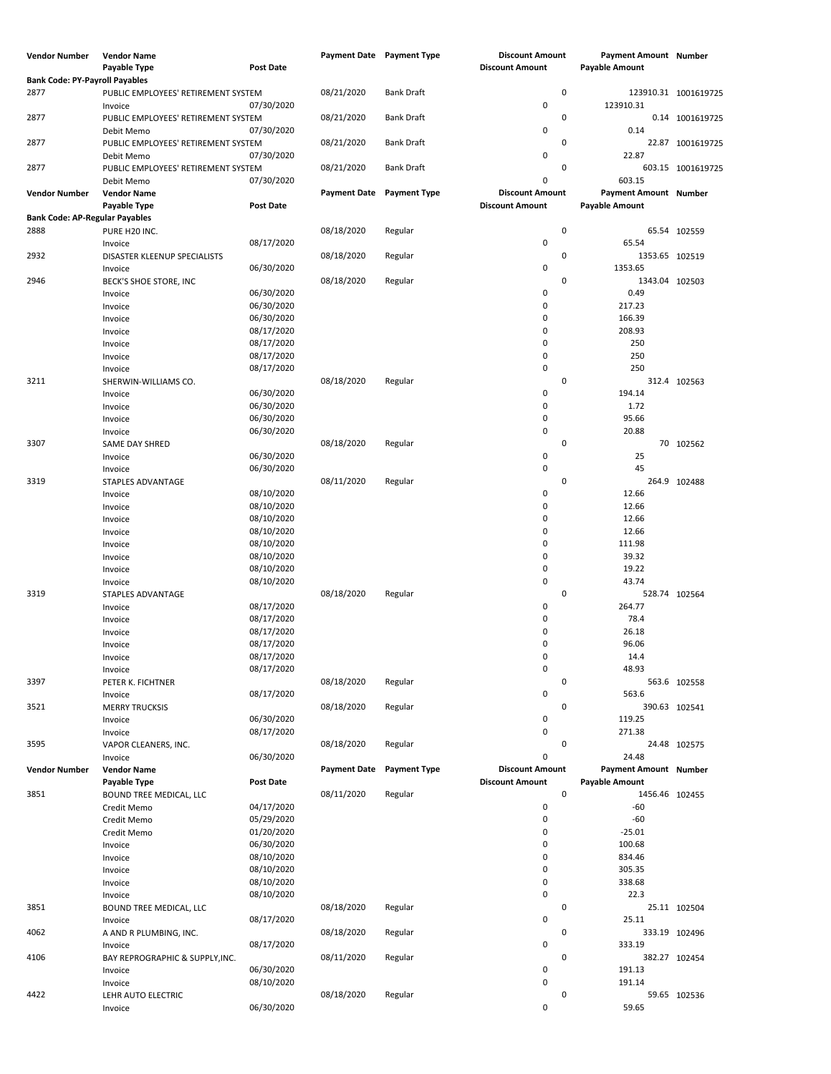| <b>Vendor Number</b>                  | <b>Vendor Name</b>                      |                          | Payment Date Payment Type |                     | <b>Discount Amount</b> | <b>Payment Amount Number</b> |                      |
|---------------------------------------|-----------------------------------------|--------------------------|---------------------------|---------------------|------------------------|------------------------------|----------------------|
|                                       | Payable Type                            | <b>Post Date</b>         |                           |                     | <b>Discount Amount</b> | <b>Payable Amount</b>        |                      |
| <b>Bank Code: PY-Payroll Payables</b> |                                         |                          |                           |                     |                        |                              |                      |
| 2877                                  | PUBLIC EMPLOYEES' RETIREMENT SYSTEM     |                          | 08/21/2020                | <b>Bank Draft</b>   | $\pmb{0}$              |                              | 123910.31 1001619725 |
|                                       | Invoice                                 | 07/30/2020               |                           |                     | 0                      | 123910.31                    |                      |
| 2877                                  | PUBLIC EMPLOYEES' RETIREMENT SYSTEM     |                          | 08/21/2020                | <b>Bank Draft</b>   | 0                      |                              | 0.14 1001619725      |
|                                       | Debit Memo                              | 07/30/2020               |                           |                     | 0                      | 0.14                         |                      |
| 2877                                  | PUBLIC EMPLOYEES' RETIREMENT SYSTEM     |                          | 08/21/2020                | Bank Draft          | $\mathsf 0$            |                              | 22.87 1001619725     |
|                                       | Debit Memo                              | 07/30/2020               |                           |                     | 0                      | 22.87                        |                      |
| 2877                                  | PUBLIC EMPLOYEES' RETIREMENT SYSTEM     |                          | 08/21/2020                | Bank Draft          | 0                      |                              | 603.15 1001619725    |
|                                       | Debit Memo                              | 07/30/2020               |                           |                     | 0                      | 603.15                       |                      |
| <b>Vendor Number</b>                  | <b>Vendor Name</b>                      |                          | <b>Payment Date</b>       | <b>Payment Type</b> | <b>Discount Amount</b> | Payment Amount Number        |                      |
|                                       | Payable Type                            | <b>Post Date</b>         |                           |                     | <b>Discount Amount</b> | <b>Payable Amount</b>        |                      |
| <b>Bank Code: AP-Regular Payables</b> |                                         |                          |                           |                     |                        |                              |                      |
| 2888                                  | PURE H20 INC.                           | 08/17/2020               | 08/18/2020                | Regular             | $\pmb{0}$<br>0         | 65.54                        | 65.54 102559         |
| 2932                                  | Invoice<br>DISASTER KLEENUP SPECIALISTS |                          | 08/18/2020                | Regular             | 0                      | 1353.65 102519               |                      |
|                                       | Invoice                                 | 06/30/2020               |                           |                     | 0                      | 1353.65                      |                      |
| 2946                                  | BECK'S SHOE STORE, INC                  |                          | 08/18/2020                | Regular             | 0                      | 1343.04 102503               |                      |
|                                       | Invoice                                 | 06/30/2020               |                           |                     | 0                      | 0.49                         |                      |
|                                       | Invoice                                 | 06/30/2020               |                           |                     | 0                      | 217.23                       |                      |
|                                       | Invoice                                 | 06/30/2020               |                           |                     | 0                      | 166.39                       |                      |
|                                       | Invoice                                 | 08/17/2020               |                           |                     | 0                      | 208.93                       |                      |
|                                       | Invoice                                 | 08/17/2020               |                           |                     | 0                      | 250                          |                      |
|                                       | Invoice                                 | 08/17/2020               |                           |                     | 0                      | 250                          |                      |
|                                       | Invoice                                 | 08/17/2020               |                           |                     | 0                      | 250                          |                      |
| 3211                                  | SHERWIN-WILLIAMS CO.                    |                          | 08/18/2020                | Regular             | 0                      |                              | 312.4 102563         |
|                                       | Invoice                                 | 06/30/2020               |                           |                     | 0                      | 194.14                       |                      |
|                                       | Invoice                                 | 06/30/2020               |                           |                     | 0                      | 1.72                         |                      |
|                                       | Invoice                                 | 06/30/2020               |                           |                     | 0                      | 95.66                        |                      |
|                                       | Invoice                                 | 06/30/2020               |                           |                     | 0                      | 20.88                        |                      |
| 3307                                  | SAME DAY SHRED                          |                          | 08/18/2020                | Regular             | 0                      |                              | 70 102562            |
|                                       | Invoice                                 | 06/30/2020               |                           |                     | 0                      | 25                           |                      |
|                                       | Invoice                                 | 06/30/2020               |                           |                     | $\pmb{0}$              | 45                           |                      |
| 3319                                  | STAPLES ADVANTAGE                       |                          | 08/11/2020                | Regular             | 0                      |                              | 264.9 102488         |
|                                       | Invoice                                 | 08/10/2020               |                           |                     | 0                      | 12.66                        |                      |
|                                       | Invoice                                 | 08/10/2020<br>08/10/2020 |                           |                     | 0<br>0                 | 12.66<br>12.66               |                      |
|                                       | Invoice<br>Invoice                      | 08/10/2020               |                           |                     | 0                      | 12.66                        |                      |
|                                       | Invoice                                 | 08/10/2020               |                           |                     | 0                      | 111.98                       |                      |
|                                       | Invoice                                 | 08/10/2020               |                           |                     | 0                      | 39.32                        |                      |
|                                       | Invoice                                 | 08/10/2020               |                           |                     | 0                      | 19.22                        |                      |
|                                       | Invoice                                 | 08/10/2020               |                           |                     | 0                      | 43.74                        |                      |
| 3319                                  | STAPLES ADVANTAGE                       |                          | 08/18/2020                | Regular             | 0                      | 528.74 102564                |                      |
|                                       | Invoice                                 | 08/17/2020               |                           |                     | 0                      | 264.77                       |                      |
|                                       | Invoice                                 | 08/17/2020               |                           |                     | 0                      | 78.4                         |                      |
|                                       | Invoice                                 | 08/17/2020               |                           |                     | 0                      | 26.18                        |                      |
|                                       | Invoice                                 | 08/17/2020               |                           |                     | 0                      | 96.06                        |                      |
|                                       | Invoice                                 | 08/17/2020               |                           |                     | 0                      | 14.4                         |                      |
|                                       | Invoice                                 | 08/17/2020               |                           |                     | 0                      | 48.93                        |                      |
| 3397                                  | PETER K. FICHTNER                       |                          | 08/18/2020                | Regular             | $\pmb{0}$              |                              | 563.6 102558         |
|                                       | Invoice                                 | 08/17/2020               |                           |                     | 0                      | 563.6                        |                      |
| 3521                                  | <b>MERRY TRUCKSIS</b>                   |                          | 08/18/2020                | Regular             | 0                      | 390.63 102541                |                      |
|                                       | Invoice                                 | 06/30/2020               |                           |                     | 0                      | 119.25                       |                      |
| 3595                                  | Invoice                                 | 08/17/2020               | 08/18/2020                |                     | 0<br>0                 | 271.38                       |                      |
|                                       | VAPOR CLEANERS, INC.<br>Invoice         | 06/30/2020               |                           | Regular             | 0                      | 24.48                        | 24.48 102575         |
| <b>Vendor Number</b>                  | <b>Vendor Name</b>                      |                          | <b>Payment Date</b>       | <b>Payment Type</b> | <b>Discount Amount</b> | Payment Amount Number        |                      |
|                                       | Payable Type                            | <b>Post Date</b>         |                           |                     | <b>Discount Amount</b> | <b>Payable Amount</b>        |                      |
| 3851                                  | BOUND TREE MEDICAL, LLC                 |                          | 08/11/2020                | Regular             | $\pmb{0}$              | 1456.46 102455               |                      |
|                                       | Credit Memo                             | 04/17/2020               |                           |                     | 0                      | -60                          |                      |
|                                       | Credit Memo                             | 05/29/2020               |                           |                     | 0                      | $-60$                        |                      |
|                                       | Credit Memo                             | 01/20/2020               |                           |                     | 0                      | $-25.01$                     |                      |
|                                       | Invoice                                 | 06/30/2020               |                           |                     | 0                      | 100.68                       |                      |
|                                       | Invoice                                 | 08/10/2020               |                           |                     | 0                      | 834.46                       |                      |
|                                       | Invoice                                 | 08/10/2020               |                           |                     | 0                      | 305.35                       |                      |
|                                       | Invoice                                 | 08/10/2020               |                           |                     | 0                      | 338.68                       |                      |
|                                       | Invoice                                 | 08/10/2020               |                           |                     | 0                      | 22.3                         |                      |
| 3851                                  | BOUND TREE MEDICAL, LLC                 |                          | 08/18/2020                | Regular             | 0                      |                              | 25.11 102504         |
|                                       | Invoice                                 | 08/17/2020               |                           |                     | 0                      | 25.11                        |                      |
| 4062                                  | A AND R PLUMBING, INC.                  |                          | 08/18/2020                | Regular             | 0                      | 333.19 102496                |                      |
|                                       | Invoice                                 | 08/17/2020               |                           |                     | 0                      | 333.19                       |                      |
| 4106                                  | BAY REPROGRAPHIC & SUPPLY, INC.         |                          | 08/11/2020                | Regular             | 0                      | 382.27 102454                |                      |
|                                       | Invoice                                 | 06/30/2020               |                           |                     | 0                      | 191.13                       |                      |
|                                       | Invoice                                 | 08/10/2020               |                           |                     | $\pmb{0}$              | 191.14                       |                      |
| 4422                                  | LEHR AUTO ELECTRIC<br>Invoice           | 06/30/2020               | 08/18/2020                | Regular             | 0<br>0                 | 59.65                        | 59.65 102536         |
|                                       |                                         |                          |                           |                     |                        |                              |                      |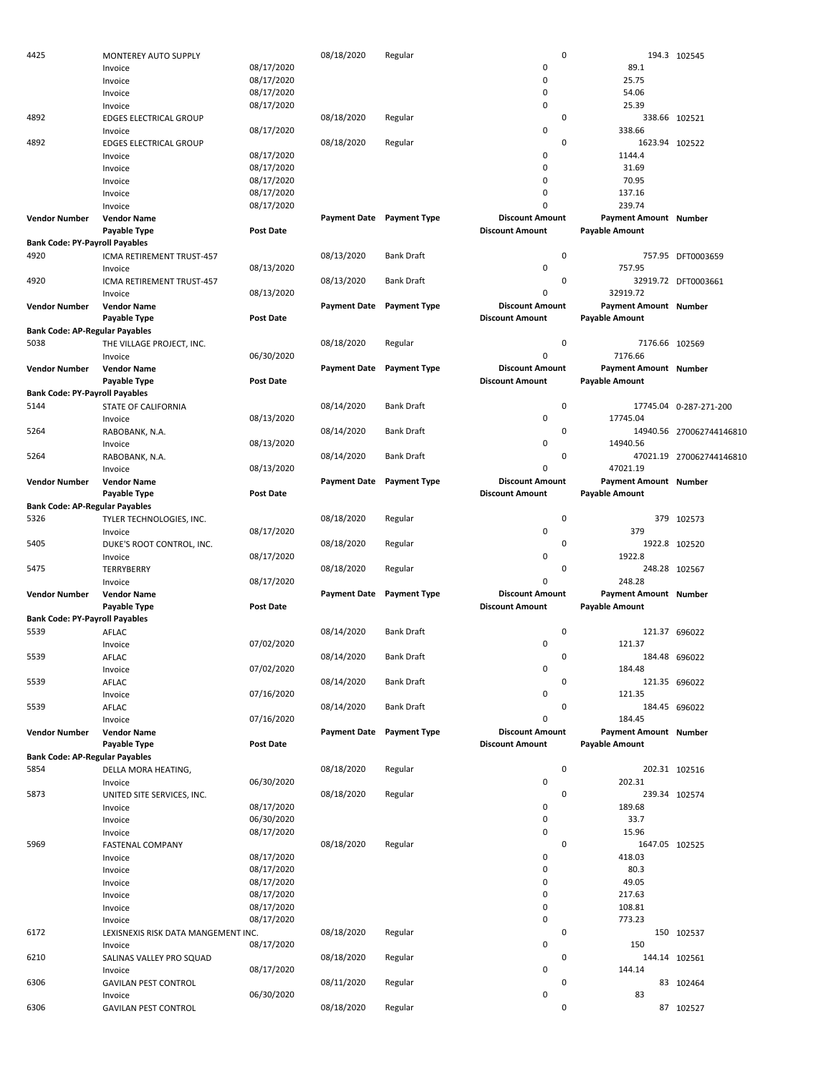| 4425                                  | MONTEREY AUTO SUPPLY                |                  | 08/18/2020          | Regular             | 0                      |                              | 194.3 102545             |
|---------------------------------------|-------------------------------------|------------------|---------------------|---------------------|------------------------|------------------------------|--------------------------|
|                                       | Invoice                             | 08/17/2020       |                     |                     | 0                      | 89.1                         |                          |
|                                       | Invoice                             | 08/17/2020       |                     |                     | $\mathbf 0$            | 25.75                        |                          |
|                                       | Invoice                             | 08/17/2020       |                     |                     | $\mathbf 0$            | 54.06                        |                          |
|                                       |                                     |                  |                     |                     |                        |                              |                          |
|                                       | Invoice                             | 08/17/2020       |                     |                     | $\mathbf 0$            | 25.39                        |                          |
| 4892                                  | <b>EDGES ELECTRICAL GROUP</b>       |                  | 08/18/2020          | Regular             | 0                      |                              | 338.66 102521            |
|                                       | Invoice                             | 08/17/2020       |                     |                     | 0                      | 338.66                       |                          |
| 4892                                  | <b>EDGES ELECTRICAL GROUP</b>       |                  | 08/18/2020          | Regular             | 0                      | 1623.94 102522               |                          |
|                                       | Invoice                             | 08/17/2020       |                     |                     | 0                      | 1144.4                       |                          |
|                                       |                                     |                  |                     |                     | $\mathbf 0$            | 31.69                        |                          |
|                                       | Invoice                             | 08/17/2020       |                     |                     |                        |                              |                          |
|                                       | Invoice                             | 08/17/2020       |                     |                     | $\mathbf 0$            | 70.95                        |                          |
|                                       | Invoice                             | 08/17/2020       |                     |                     | $\mathbf 0$            | 137.16                       |                          |
|                                       | Invoice                             | 08/17/2020       |                     |                     | $\mathbf 0$            | 239.74                       |                          |
| <b>Vendor Number</b>                  | <b>Vendor Name</b>                  |                  | <b>Payment Date</b> | <b>Payment Type</b> | <b>Discount Amount</b> | <b>Payment Amount Number</b> |                          |
|                                       |                                     |                  |                     |                     |                        |                              |                          |
|                                       | Payable Type                        | <b>Post Date</b> |                     |                     | <b>Discount Amount</b> | <b>Payable Amount</b>        |                          |
| <b>Bank Code: PY-Payroll Payables</b> |                                     |                  |                     |                     |                        |                              |                          |
| 4920                                  | ICMA RETIREMENT TRUST-457           |                  | 08/13/2020          | <b>Bank Draft</b>   | $\mathbf 0$            |                              | 757.95 DFT0003659        |
|                                       | Invoice                             | 08/13/2020       |                     |                     | $\mathbf 0$            | 757.95                       |                          |
| 4920                                  | ICMA RETIREMENT TRUST-457           |                  | 08/13/2020          | <b>Bank Draft</b>   | 0                      |                              | 32919.72 DFT0003661      |
|                                       |                                     |                  |                     |                     |                        |                              |                          |
|                                       | Invoice                             | 08/13/2020       |                     |                     | $\mathbf 0$            | 32919.72                     |                          |
| <b>Vendor Number</b>                  | <b>Vendor Name</b>                  |                  | <b>Payment Date</b> | <b>Payment Type</b> | <b>Discount Amount</b> | Payment Amount Number        |                          |
|                                       | Payable Type                        | <b>Post Date</b> |                     |                     | <b>Discount Amount</b> | <b>Payable Amount</b>        |                          |
| <b>Bank Code: AP-Regular Payables</b> |                                     |                  |                     |                     |                        |                              |                          |
| 5038                                  | THE VILLAGE PROJECT, INC.           |                  | 08/18/2020          | Regular             | 0                      | 7176.66 102569               |                          |
|                                       |                                     |                  |                     |                     |                        |                              |                          |
|                                       | Invoice                             | 06/30/2020       |                     |                     | $\mathbf 0$            | 7176.66                      |                          |
| <b>Vendor Number</b>                  | <b>Vendor Name</b>                  |                  | <b>Payment Date</b> | <b>Payment Type</b> | <b>Discount Amount</b> | <b>Payment Amount Number</b> |                          |
|                                       | Payable Type                        | <b>Post Date</b> |                     |                     | <b>Discount Amount</b> | <b>Payable Amount</b>        |                          |
| <b>Bank Code: PY-Payroll Payables</b> |                                     |                  |                     |                     |                        |                              |                          |
| 5144                                  | <b>STATE OF CALIFORNIA</b>          |                  | 08/14/2020          | <b>Bank Draft</b>   | $\mathbf 0$            |                              | 17745.04 0-287-271-200   |
|                                       |                                     |                  |                     |                     |                        |                              |                          |
|                                       | Invoice                             | 08/13/2020       |                     |                     | $\mathbf 0$            | 17745.04                     |                          |
| 5264                                  | RABOBANK, N.A.                      |                  | 08/14/2020          | <b>Bank Draft</b>   | 0                      |                              | 14940.56 270062744146810 |
|                                       | Invoice                             | 08/13/2020       |                     |                     | $\mathbf 0$            | 14940.56                     |                          |
| 5264                                  | RABOBANK, N.A.                      |                  | 08/14/2020          | <b>Bank Draft</b>   | 0                      |                              | 47021.19 270062744146810 |
|                                       |                                     |                  |                     |                     | $\mathbf 0$            | 47021.19                     |                          |
|                                       | Invoice                             | 08/13/2020       |                     |                     |                        |                              |                          |
| <b>Vendor Number</b>                  | <b>Vendor Name</b>                  |                  | <b>Payment Date</b> | <b>Payment Type</b> | <b>Discount Amount</b> | Payment Amount Number        |                          |
|                                       | Payable Type                        | <b>Post Date</b> |                     |                     | <b>Discount Amount</b> | <b>Payable Amount</b>        |                          |
| <b>Bank Code: AP-Regular Payables</b> |                                     |                  |                     |                     |                        |                              |                          |
| 5326                                  | TYLER TECHNOLOGIES, INC.            |                  | 08/18/2020          | Regular             | $\mathbf 0$            |                              | 379 102573               |
|                                       |                                     |                  |                     |                     | 0                      | 379                          |                          |
|                                       | Invoice                             | 08/17/2020       |                     |                     |                        |                              |                          |
| 5405                                  | DUKE'S ROOT CONTROL, INC.           |                  | 08/18/2020          | Regular             | 0                      |                              | 1922.8 102520            |
|                                       | Invoice                             | 08/17/2020       |                     |                     | $\mathbf 0$            | 1922.8                       |                          |
| 5475                                  | TERRYBERRY                          |                  | 08/18/2020          | Regular             | 0                      |                              | 248.28 102567            |
|                                       | Invoice                             | 08/17/2020       |                     |                     | $\mathbf 0$            | 248.28                       |                          |
|                                       |                                     |                  |                     |                     | <b>Discount Amount</b> |                              |                          |
| <b>Vendor Number</b>                  | <b>Vendor Name</b>                  |                  | <b>Payment Date</b> | <b>Payment Type</b> |                        | Payment Amount Number        |                          |
|                                       | Payable Type                        | <b>Post Date</b> |                     |                     | <b>Discount Amount</b> | <b>Payable Amount</b>        |                          |
| <b>Bank Code: PY-Payroll Payables</b> |                                     |                  |                     |                     |                        |                              |                          |
| 5539                                  | AFLAC                               |                  | 08/14/2020          | <b>Bank Draft</b>   | $\mathbf 0$            |                              | 121.37 696022            |
|                                       | Invoice                             | 07/02/2020       |                     |                     | $\mathbf 0$            | 121.37                       |                          |
|                                       |                                     |                  |                     |                     |                        |                              |                          |
| 5539                                  | AFLAC                               |                  | 08/14/2020          | <b>Bank Draft</b>   | 0                      |                              | 184.48 696022            |
|                                       | Invoice                             | 07/02/2020       |                     |                     | $\pmb{0}$              | 184.48                       |                          |
| 5539                                  | AFLAC                               |                  | 08/14/2020          | <b>Bank Draft</b>   | 0                      |                              | 121.35 696022            |
|                                       | Invoice                             | 07/16/2020       |                     |                     | $\mathbf 0$            | 121.35                       |                          |
| 5539                                  | AFLAC                               |                  | 08/14/2020          | <b>Bank Draft</b>   | 0                      |                              | 184.45 696022            |
|                                       |                                     |                  |                     |                     |                        |                              |                          |
|                                       | Invoice                             | 07/16/2020       |                     |                     | $\mathbf 0$            | 184.45                       |                          |
| <b>Vendor Number</b>                  | <b>Vendor Name</b>                  |                  | <b>Payment Date</b> | <b>Payment Type</b> | <b>Discount Amount</b> | <b>Payment Amount Number</b> |                          |
|                                       | Payable Type                        | <b>Post Date</b> |                     |                     | <b>Discount Amount</b> | <b>Payable Amount</b>        |                          |
| <b>Bank Code: AP-Regular Payables</b> |                                     |                  |                     |                     |                        |                              |                          |
| 5854                                  | DELLA MORA HEATING,                 |                  | 08/18/2020          | Regular             | $\mathbf 0$            |                              | 202.31 102516            |
|                                       |                                     |                  |                     |                     |                        |                              |                          |
|                                       | Invoice                             | 06/30/2020       |                     |                     | $\mathbf 0$            | 202.31                       |                          |
| 5873                                  | UNITED SITE SERVICES, INC.          |                  | 08/18/2020          | Regular             | 0                      |                              | 239.34 102574            |
|                                       | Invoice                             | 08/17/2020       |                     |                     | 0                      | 189.68                       |                          |
|                                       | Invoice                             | 06/30/2020       |                     |                     | 0                      | 33.7                         |                          |
|                                       | Invoice                             | 08/17/2020       |                     |                     | $\mathbf 0$            | 15.96                        |                          |
|                                       |                                     |                  |                     |                     |                        |                              |                          |
| 5969                                  | <b>FASTENAL COMPANY</b>             |                  | 08/18/2020          | Regular             | 0                      | 1647.05 102525               |                          |
|                                       | Invoice                             | 08/17/2020       |                     |                     | $\mathbf 0$            | 418.03                       |                          |
|                                       | Invoice                             | 08/17/2020       |                     |                     | 0                      | 80.3                         |                          |
|                                       | Invoice                             | 08/17/2020       |                     |                     | 0                      | 49.05                        |                          |
|                                       |                                     |                  |                     |                     | $\mathbf 0$            | 217.63                       |                          |
|                                       | Invoice                             | 08/17/2020       |                     |                     |                        |                              |                          |
|                                       | Invoice                             | 08/17/2020       |                     |                     | $\mathbf 0$            | 108.81                       |                          |
|                                       | Invoice                             | 08/17/2020       |                     |                     | $\mathbf 0$            | 773.23                       |                          |
| 6172                                  |                                     |                  | 08/18/2020          | Regular             | 0                      |                              | 150 102537               |
|                                       | LEXISNEXIS RISK DATA MANGEMENT INC. |                  |                     |                     |                        |                              |                          |
|                                       |                                     |                  |                     |                     | $\mathbf 0$            | 150                          |                          |
|                                       | Invoice                             | 08/17/2020       |                     |                     |                        |                              |                          |
| 6210                                  | SALINAS VALLEY PRO SQUAD            |                  | 08/18/2020          | Regular             | 0                      |                              | 144.14 102561            |
|                                       | Invoice                             | 08/17/2020       |                     |                     | 0                      | 144.14                       |                          |
| 6306                                  | <b>GAVILAN PEST CONTROL</b>         |                  | 08/11/2020          | Regular             | 0                      |                              | 83 102464                |
|                                       | Invoice                             | 06/30/2020       |                     |                     | 0                      | 83                           |                          |
| 6306                                  | <b>GAVILAN PEST CONTROL</b>         |                  | 08/18/2020          | Regular             | 0                      |                              | 87 102527                |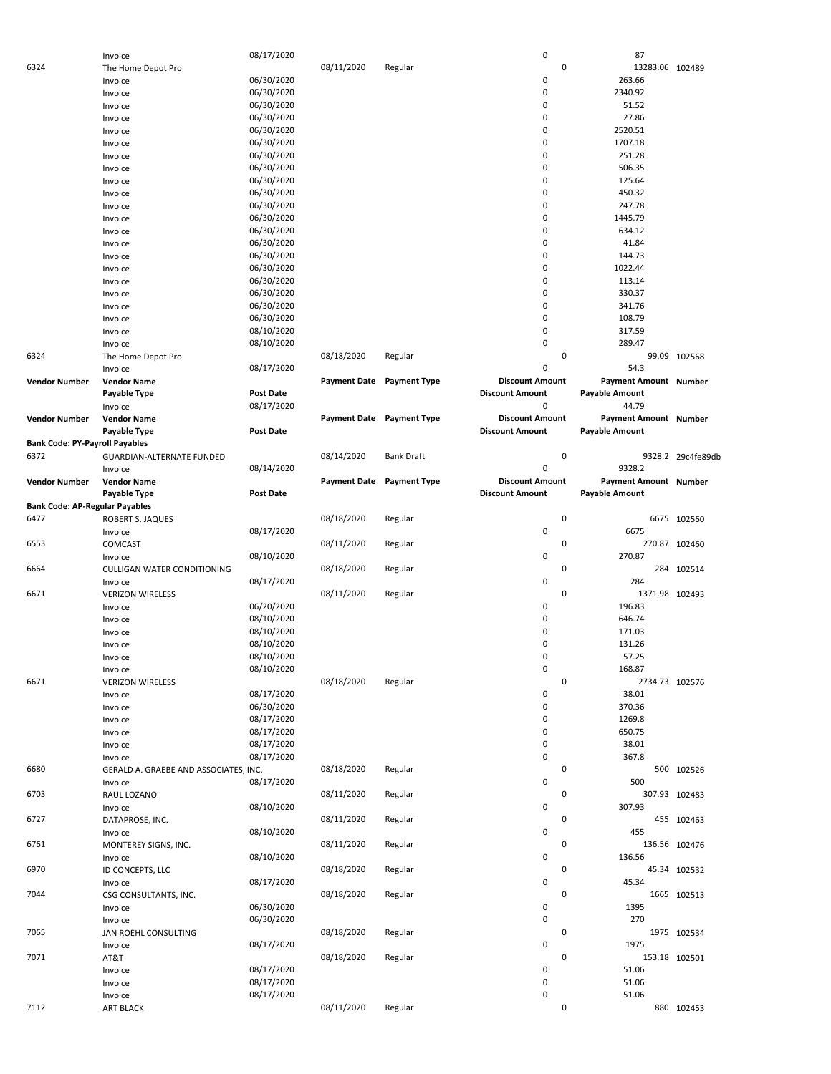|                                       | Invoice                               | 08/17/2020       |                     |                     | $\pmb{0}$              | 87                           |                   |
|---------------------------------------|---------------------------------------|------------------|---------------------|---------------------|------------------------|------------------------------|-------------------|
| 6324                                  | The Home Depot Pro                    |                  | 08/11/2020          | Regular             | 0                      | 13283.06 102489              |                   |
|                                       |                                       |                  |                     |                     | 0                      |                              |                   |
|                                       | Invoice                               | 06/30/2020       |                     |                     |                        | 263.66                       |                   |
|                                       | Invoice                               | 06/30/2020       |                     |                     | 0                      | 2340.92                      |                   |
|                                       | Invoice                               | 06/30/2020       |                     |                     | $\mathbf 0$            | 51.52                        |                   |
|                                       | Invoice                               | 06/30/2020       |                     |                     | $\mathbf 0$            | 27.86                        |                   |
|                                       | Invoice                               | 06/30/2020       |                     |                     | $\mathbf 0$            | 2520.51                      |                   |
|                                       | Invoice                               | 06/30/2020       |                     |                     | 0                      | 1707.18                      |                   |
|                                       |                                       |                  |                     |                     |                        |                              |                   |
|                                       | Invoice                               | 06/30/2020       |                     |                     | 0                      | 251.28                       |                   |
|                                       | Invoice                               | 06/30/2020       |                     |                     | 0                      | 506.35                       |                   |
|                                       | Invoice                               | 06/30/2020       |                     |                     | $\mathbf 0$            | 125.64                       |                   |
|                                       | Invoice                               | 06/30/2020       |                     |                     | 0                      | 450.32                       |                   |
|                                       | Invoice                               | 06/30/2020       |                     |                     | 0                      | 247.78                       |                   |
|                                       |                                       |                  |                     |                     |                        |                              |                   |
|                                       | Invoice                               | 06/30/2020       |                     |                     | 0                      | 1445.79                      |                   |
|                                       | Invoice                               | 06/30/2020       |                     |                     | 0                      | 634.12                       |                   |
|                                       | Invoice                               | 06/30/2020       |                     |                     | 0                      | 41.84                        |                   |
|                                       | Invoice                               | 06/30/2020       |                     |                     | $\mathbf 0$            | 144.73                       |                   |
|                                       | Invoice                               | 06/30/2020       |                     |                     | $\mathbf 0$            | 1022.44                      |                   |
|                                       |                                       |                  |                     |                     |                        |                              |                   |
|                                       | Invoice                               | 06/30/2020       |                     |                     | $\mathbf 0$            | 113.14                       |                   |
|                                       | Invoice                               | 06/30/2020       |                     |                     | 0                      | 330.37                       |                   |
|                                       | Invoice                               | 06/30/2020       |                     |                     | 0                      | 341.76                       |                   |
|                                       | Invoice                               | 06/30/2020       |                     |                     | 0                      | 108.79                       |                   |
|                                       |                                       |                  |                     |                     | $\mathbf 0$            |                              |                   |
|                                       | Invoice                               | 08/10/2020       |                     |                     |                        | 317.59                       |                   |
|                                       | Invoice                               | 08/10/2020       |                     |                     | $\mathbf 0$            | 289.47                       |                   |
| 6324                                  | The Home Depot Pro                    |                  | 08/18/2020          | Regular             | 0                      |                              | 99.09 102568      |
|                                       | Invoice                               | 08/17/2020       |                     |                     | $\mathbf 0$            | 54.3                         |                   |
| <b>Vendor Number</b>                  | <b>Vendor Name</b>                    |                  | <b>Payment Date</b> | <b>Payment Type</b> | <b>Discount Amount</b> | Payment Amount Number        |                   |
|                                       |                                       |                  |                     |                     |                        |                              |                   |
|                                       | Payable Type                          | <b>Post Date</b> |                     |                     | <b>Discount Amount</b> | <b>Payable Amount</b>        |                   |
|                                       | Invoice                               | 08/17/2020       |                     |                     | 0                      | 44.79                        |                   |
| <b>Vendor Number</b>                  | <b>Vendor Name</b>                    |                  | <b>Payment Date</b> | <b>Payment Type</b> | <b>Discount Amount</b> | <b>Payment Amount Number</b> |                   |
|                                       | Payable Type                          | <b>Post Date</b> |                     |                     | <b>Discount Amount</b> | <b>Payable Amount</b>        |                   |
| <b>Bank Code: PY-Payroll Payables</b> |                                       |                  |                     |                     |                        |                              |                   |
|                                       |                                       |                  |                     |                     |                        |                              |                   |
| 6372                                  | GUARDIAN-ALTERNATE FUNDED             |                  | 08/14/2020          | <b>Bank Draft</b>   | 0                      |                              | 9328.2 29c4fe89db |
|                                       | Invoice                               | 08/14/2020       |                     |                     | 0                      | 9328.2                       |                   |
| <b>Vendor Number</b>                  | <b>Vendor Name</b>                    |                  | <b>Payment Date</b> | <b>Payment Type</b> | <b>Discount Amount</b> | Payment Amount Number        |                   |
|                                       | Payable Type                          | <b>Post Date</b> |                     |                     | <b>Discount Amount</b> | <b>Payable Amount</b>        |                   |
| <b>Bank Code: AP-Regular Payables</b> |                                       |                  |                     |                     |                        |                              |                   |
|                                       |                                       |                  |                     |                     |                        |                              |                   |
| 6477                                  | ROBERT S. JAQUES                      |                  | 08/18/2020          | Regular             | 0                      |                              | 6675 102560       |
|                                       | Invoice                               | 08/17/2020       |                     |                     | 0                      | 6675                         |                   |
| 6553                                  | COMCAST                               |                  | 08/11/2020          | Regular             | 0                      |                              | 270.87 102460     |
|                                       | Invoice                               | 08/10/2020       |                     |                     | $\mathbf 0$            | 270.87                       |                   |
| 6664                                  |                                       |                  |                     |                     | 0                      | 284                          |                   |
|                                       | <b>CULLIGAN WATER CONDITIONING</b>    |                  | 08/18/2020          | Regular             |                        |                              | 102514            |
|                                       | Invoice                               | 08/17/2020       |                     |                     | $\mathbf 0$            | 284                          |                   |
| 6671                                  | <b>VERIZON WIRELESS</b>               |                  | 08/11/2020          | Regular             | 0                      | 1371.98 102493               |                   |
|                                       | Invoice                               | 06/20/2020       |                     |                     | 0                      | 196.83                       |                   |
|                                       | Invoice                               | 08/10/2020       |                     |                     | 0                      | 646.74                       |                   |
|                                       |                                       |                  |                     |                     |                        |                              |                   |
|                                       | Invoice                               | 08/10/2020       |                     |                     | $\mathbf 0$            | 171.03                       |                   |
|                                       | Invoice                               | 08/10/2020       |                     |                     | 0                      | 131.26                       |                   |
|                                       | Invoice                               | 08/10/2020       |                     |                     | 0                      | 57.25                        |                   |
|                                       | Invoice                               | 08/10/2020       |                     |                     | $\pmb{0}$              | 168.87                       |                   |
| 6671                                  |                                       |                  |                     |                     | $\mathbf 0$            |                              |                   |
|                                       | <b>VERIZON WIRELESS</b>               |                  | 08/18/2020          | Regular             |                        | 2734.73 102576               |                   |
|                                       | Invoice                               | 08/17/2020       |                     |                     | 0                      | 38.01                        |                   |
|                                       | Invoice                               | 06/30/2020       |                     |                     | 0                      | 370.36                       |                   |
|                                       | Invoice                               | 08/17/2020       |                     |                     | 0                      | 1269.8                       |                   |
|                                       | Invoice                               | 08/17/2020       |                     |                     | $\pmb{0}$              | 650.75                       |                   |
|                                       | Invoice                               | 08/17/2020       |                     |                     | 0                      | 38.01                        |                   |
|                                       |                                       |                  |                     |                     |                        |                              |                   |
|                                       | Invoice                               | 08/17/2020       |                     |                     | $\mathbf 0$            | 367.8                        |                   |
| 6680                                  | GERALD A. GRAEBE AND ASSOCIATES, INC. |                  | 08/18/2020          | Regular             | 0                      |                              | 500 102526        |
|                                       | Invoice                               | 08/17/2020       |                     |                     | 0                      | 500                          |                   |
| 6703                                  | RAUL LOZANO                           |                  | 08/11/2020          | Regular             | 0                      |                              | 307.93 102483     |
|                                       |                                       |                  |                     |                     | $\mathbf 0$            |                              |                   |
|                                       | Invoice                               | 08/10/2020       |                     |                     |                        | 307.93                       |                   |
| 6727                                  | DATAPROSE, INC.                       |                  | 08/11/2020          | Regular             | 0                      |                              | 455 102463        |
|                                       | Invoice                               | 08/10/2020       |                     |                     | 0                      | 455                          |                   |
| 6761                                  | MONTEREY SIGNS, INC.                  |                  | 08/11/2020          | Regular             | 0                      |                              | 136.56 102476     |
|                                       |                                       |                  |                     |                     | 0                      | 136.56                       |                   |
|                                       | Invoice                               | 08/10/2020       |                     |                     |                        |                              |                   |
| 6970                                  | ID CONCEPTS, LLC                      |                  | 08/18/2020          | Regular             | 0                      |                              | 45.34 102532      |
|                                       | Invoice                               | 08/17/2020       |                     |                     | 0                      | 45.34                        |                   |
| 7044                                  |                                       |                  | 08/18/2020          | Regular             | 0                      |                              | 1665 102513       |
|                                       |                                       |                  |                     |                     | 0                      | 1395                         |                   |
|                                       | CSG CONSULTANTS, INC.                 |                  |                     |                     |                        |                              |                   |
|                                       | Invoice                               | 06/30/2020       |                     |                     |                        |                              |                   |
|                                       | Invoice                               | 06/30/2020       |                     |                     | 0                      | 270                          |                   |
| 7065                                  | JAN ROEHL CONSULTING                  |                  | 08/18/2020          | Regular             | 0                      |                              | 1975 102534       |
|                                       | Invoice                               | 08/17/2020       |                     |                     | 0                      | 1975                         |                   |
| 7071                                  |                                       |                  | 08/18/2020          | Regular             | 0                      |                              |                   |
|                                       | AT&T                                  |                  |                     |                     |                        |                              | 153.18 102501     |
|                                       | Invoice                               | 08/17/2020       |                     |                     | 0                      | 51.06                        |                   |
|                                       | Invoice                               | 08/17/2020       |                     |                     | 0                      | 51.06                        |                   |
|                                       | Invoice                               | 08/17/2020       |                     |                     | 0                      | 51.06                        |                   |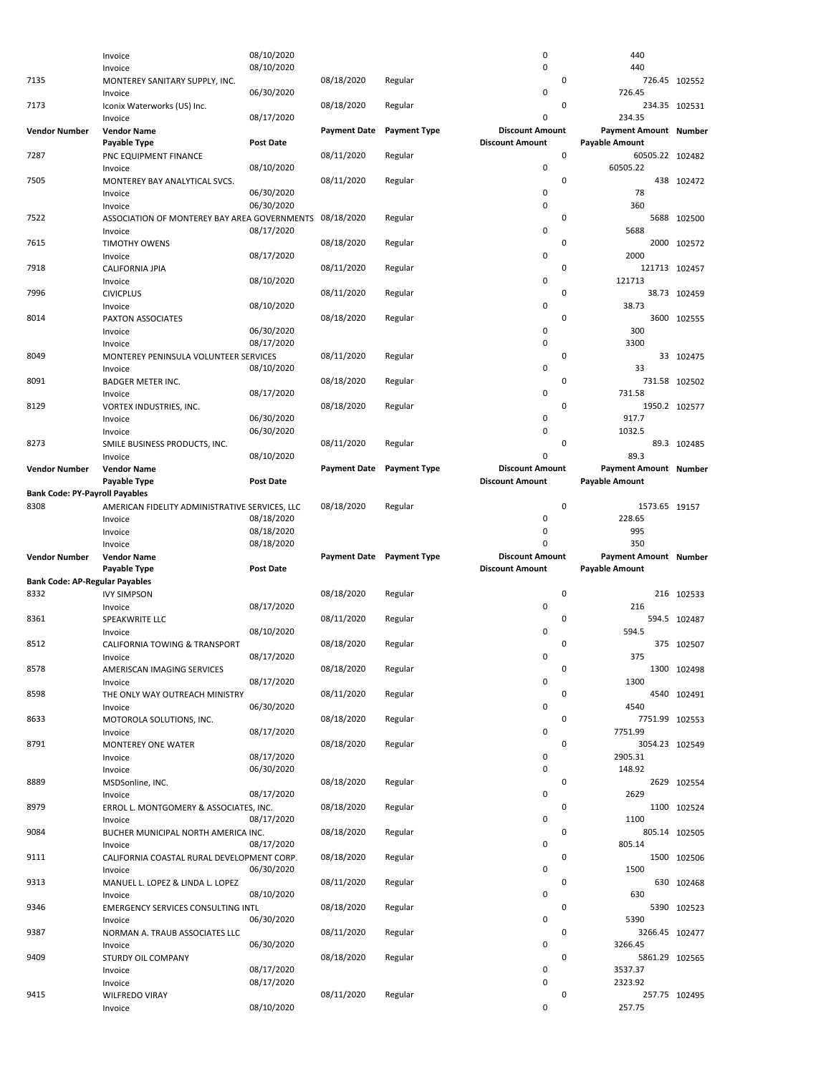|                                               | Invoice                                               | 08/10/2020       |                     |                           | 0                           | 440                                      |                |
|-----------------------------------------------|-------------------------------------------------------|------------------|---------------------|---------------------------|-----------------------------|------------------------------------------|----------------|
|                                               | Invoice                                               | 08/10/2020       |                     |                           | 0                           | 440                                      |                |
| 7135                                          | MONTEREY SANITARY SUPPLY, INC.<br>Invoice             | 06/30/2020       | 08/18/2020          | Regular                   | 0<br>0                      | 726.45                                   | 726.45 102552  |
| 7173                                          | Iconix Waterworks (US) Inc.<br>Invoice                | 08/17/2020       | 08/18/2020          | Regular                   | 0<br>0                      | 234.35                                   | 234.35 102531  |
| <b>Vendor Number</b>                          | <b>Vendor Name</b>                                    |                  | <b>Payment Date</b> | <b>Payment Type</b>       | <b>Discount Amount</b>      | <b>Payment Amount Number</b>             |                |
| 7287                                          | Payable Type                                          | <b>Post Date</b> | 08/11/2020          |                           | <b>Discount Amount</b><br>0 | <b>Payable Amount</b><br>60505.22 102482 |                |
|                                               | PNC EQUIPMENT FINANCE<br>Invoice                      | 08/10/2020       |                     | Regular                   | 0                           | 60505.22                                 |                |
| 7505                                          | MONTEREY BAY ANALYTICAL SVCS.                         |                  | 08/11/2020          | Regular                   | 0                           |                                          | 438 102472     |
|                                               | Invoice                                               | 06/30/2020       |                     |                           | 0                           | 78                                       |                |
|                                               | Invoice                                               | 06/30/2020       |                     |                           | 0                           | 360                                      |                |
| 7522                                          | ASSOCIATION OF MONTEREY BAY AREA GOVERNMENTS          |                  | 08/18/2020          | Regular                   | 0                           | 5688                                     | 102500         |
|                                               | Invoice                                               | 08/17/2020       |                     |                           | 0                           | 5688                                     |                |
| 7615                                          | <b>TIMOTHY OWENS</b>                                  |                  | 08/18/2020          | Regular                   | 0                           |                                          | 2000 102572    |
|                                               | Invoice                                               | 08/17/2020       |                     |                           | 0                           | 2000                                     |                |
| 7918                                          | <b>CALIFORNIA JPIA</b>                                |                  | 08/11/2020          | Regular                   | 0<br>0                      | 121713                                   | 121713 102457  |
| 7996                                          | Invoice<br><b>CIVICPLUS</b>                           | 08/10/2020       | 08/11/2020          | Regular                   | 0                           |                                          | 38.73 102459   |
|                                               | Invoice                                               | 08/10/2020       |                     |                           | 0                           | 38.73                                    |                |
| 8014                                          | PAXTON ASSOCIATES                                     |                  | 08/18/2020          | Regular                   | 0                           |                                          | 3600 102555    |
|                                               | Invoice                                               | 06/30/2020       |                     |                           | 0                           | 300                                      |                |
|                                               | Invoice                                               | 08/17/2020       |                     |                           | 0                           | 3300                                     |                |
| 8049                                          | MONTEREY PENINSULA VOLUNTEER SERVICES                 |                  | 08/11/2020          | Regular                   | 0                           |                                          | 33 102475      |
|                                               | Invoice                                               | 08/10/2020       |                     |                           | 0                           | 33                                       |                |
| 8091                                          | <b>BADGER METER INC.</b>                              |                  | 08/18/2020          | Regular                   | 0                           |                                          | 731.58 102502  |
|                                               | Invoice                                               | 08/17/2020       |                     |                           | 0                           | 731.58                                   |                |
| 8129                                          | VORTEX INDUSTRIES, INC.                               |                  | 08/18/2020          | Regular                   | 0                           |                                          | 1950.2 102577  |
|                                               | Invoice                                               | 06/30/2020       |                     |                           | 0<br>0                      | 917.7<br>1032.5                          |                |
| 8273                                          | Invoice<br>SMILE BUSINESS PRODUCTS, INC.              | 06/30/2020       | 08/11/2020          | Regular                   | 0                           |                                          | 89.3 102485    |
|                                               | Invoice                                               | 08/10/2020       |                     |                           | 0                           | 89.3                                     |                |
| <b>Vendor Number</b>                          | <b>Vendor Name</b>                                    |                  | <b>Payment Date</b> | <b>Payment Type</b>       | <b>Discount Amount</b>      | <b>Payment Amount Number</b>             |                |
|                                               | Payable Type                                          | <b>Post Date</b> |                     |                           | <b>Discount Amount</b>      | <b>Payable Amount</b>                    |                |
| <b>Bank Code: PY-Payroll Payables</b>         |                                                       |                  |                     |                           |                             |                                          |                |
| 8308                                          | AMERICAN FIDELITY ADMINISTRATIVE SERVICES, LLC        |                  | 08/18/2020          | Regular                   | 0                           | 1573.65 19157                            |                |
|                                               | Invoice                                               | 08/18/2020       |                     |                           | 0                           | 228.65                                   |                |
|                                               |                                                       |                  |                     |                           |                             |                                          |                |
|                                               | Invoice                                               | 08/18/2020       |                     |                           | 0                           | 995                                      |                |
|                                               | Invoice                                               | 08/18/2020       |                     |                           | 0                           | 350                                      |                |
| <b>Vendor Number</b>                          | <b>Vendor Name</b>                                    |                  |                     | Payment Date Payment Type | <b>Discount Amount</b>      | Payment Amount Number                    |                |
|                                               | Payable Type                                          | <b>Post Date</b> |                     |                           | <b>Discount Amount</b>      | <b>Payable Amount</b>                    |                |
| <b>Bank Code: AP-Regular Payables</b><br>8332 | <b>IVY SIMPSON</b>                                    |                  | 08/18/2020          | Regular                   | 0                           |                                          | 216 102533     |
|                                               | Invoice                                               | 08/17/2020       |                     |                           | 0                           | 216                                      |                |
| 8361                                          | SPEAKWRITE LLC                                        |                  | 08/11/2020          | Regular                   | 0                           |                                          | 594.5 102487   |
|                                               | Invoice                                               | 08/10/2020       |                     |                           | 0                           | 594.5                                    |                |
| 8512                                          | CALIFORNIA TOWING & TRANSPORT                         |                  | 08/18/2020          | Regular                   | 0                           |                                          | 375 102507     |
|                                               | Invoice                                               | 08/17/2020       |                     |                           | 0                           | 375                                      |                |
| 8578                                          | AMERISCAN IMAGING SERVICES                            |                  | 08/18/2020          | Regular                   | 0                           |                                          | 1300 102498    |
|                                               | Invoice                                               | 08/17/2020       |                     |                           | 0                           | 1300                                     |                |
| 8598                                          | THE ONLY WAY OUTREACH MINISTRY                        |                  | 08/11/2020          | Regular                   | 0                           |                                          | 4540 102491    |
| 8633                                          | Invoice<br>MOTOROLA SOLUTIONS, INC.                   | 06/30/2020       | 08/18/2020          | Regular                   | 0<br>0                      | 4540                                     | 7751.99 102553 |
|                                               | Invoice                                               | 08/17/2020       |                     |                           | 0                           | 7751.99                                  |                |
| 8791                                          | MONTEREY ONE WATER                                    |                  | 08/18/2020          | Regular                   | 0                           |                                          | 3054.23 102549 |
|                                               | Invoice                                               | 08/17/2020       |                     |                           | 0                           | 2905.31                                  |                |
|                                               | Invoice                                               | 06/30/2020       |                     |                           | 0                           | 148.92                                   |                |
| 8889                                          | MSDSonline, INC.                                      |                  | 08/18/2020          | Regular                   | 0                           |                                          | 2629 102554    |
|                                               | Invoice                                               | 08/17/2020       |                     |                           | 0                           | 2629                                     |                |
| 8979                                          | ERROL L. MONTGOMERY & ASSOCIATES, INC.                |                  | 08/18/2020          | Regular                   | 0                           |                                          | 1100 102524    |
|                                               | Invoice                                               | 08/17/2020       |                     |                           | 0                           | 1100                                     |                |
| 9084                                          | BUCHER MUNICIPAL NORTH AMERICA INC.                   |                  | 08/18/2020          | Regular                   | 0<br>0                      |                                          | 805.14 102505  |
| 9111                                          | Invoice<br>CALIFORNIA COASTAL RURAL DEVELOPMENT CORP. | 08/17/2020       | 08/18/2020          | Regular                   | 0                           | 805.14                                   | 1500 102506    |
|                                               | Invoice                                               | 06/30/2020       |                     |                           | 0                           | 1500                                     |                |
| 9313                                          | MANUEL L. LOPEZ & LINDA L. LOPEZ                      |                  | 08/11/2020          | Regular                   | 0                           |                                          | 630 102468     |
|                                               | Invoice                                               | 08/10/2020       |                     |                           | 0                           | 630                                      |                |
| 9346                                          | EMERGENCY SERVICES CONSULTING INTL                    |                  | 08/18/2020          | Regular                   | 0                           |                                          | 5390 102523    |
|                                               | Invoice                                               | 06/30/2020       |                     |                           | 0                           | 5390                                     |                |
| 9387                                          | NORMAN A. TRAUB ASSOCIATES LLC                        |                  | 08/11/2020          | Regular                   | 0                           |                                          | 3266.45 102477 |
| 9409                                          | Invoice                                               | 06/30/2020       | 08/18/2020          | Regular                   | 0<br>0                      | 3266.45                                  |                |
|                                               | STURDY OIL COMPANY<br>Invoice                         | 08/17/2020       |                     |                           | 0                           | 3537.37                                  | 5861.29 102565 |
|                                               | Invoice                                               | 08/17/2020       |                     |                           | 0                           | 2323.92                                  |                |
| 9415                                          | <b>WILFREDO VIRAY</b>                                 | 08/10/2020       | 08/11/2020          | Regular                   | 0<br>0                      | 257.75                                   | 257.75 102495  |